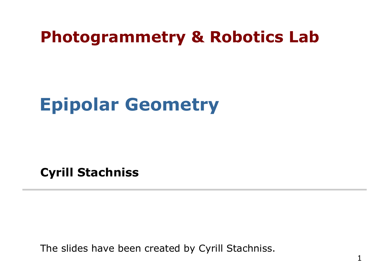#### **Photogrammetry & Robotics Lab**

## **Epipolar Geometry**

**Cyrill Stachniss** 

The slides have been created by Cyrill Stachniss.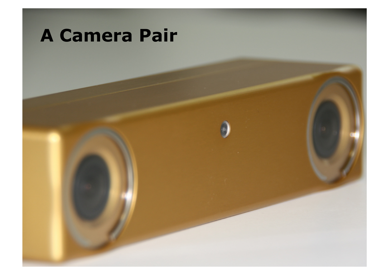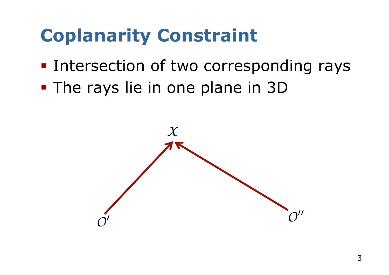## **Coplanarity Constraint**

- Intersection of two corresponding rays
- § The rays lie in one plane in 3D

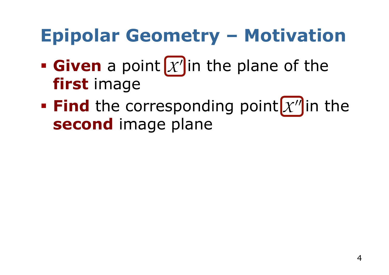## **Epipolar Geometry – Motivation**

- **Given** a point  $\mathcal{X}'$  in the plane of the **first** image
- **Find** the corresponding point  $x''$  in the **second** image plane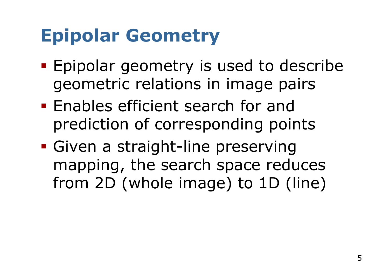## **Epipolar Geometry**

- § Epipolar geometry is used to describe geometric relations in image pairs
- § Enables efficient search for and prediction of corresponding points
- § Given a straight-line preserving mapping, the search space reduces from 2D (whole image) to 1D (line)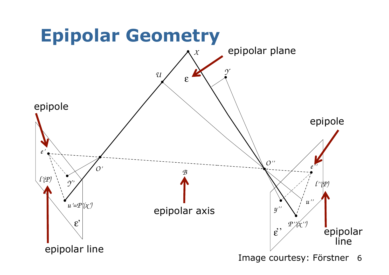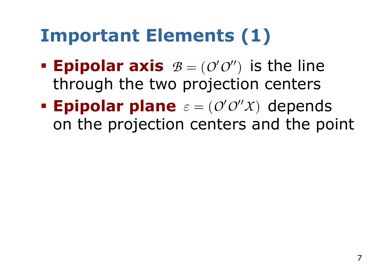## **Important Elements (1)**

- **Epipolar axis**  $B = (O'O'')$  is the line through the two projection centers
- **Epipolar plane**  $\varepsilon = (O'O''X)$  depends on the projection centers and the point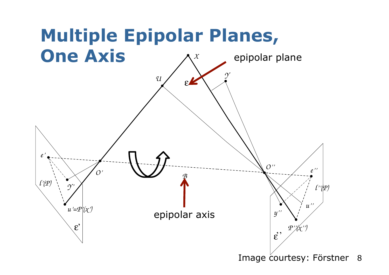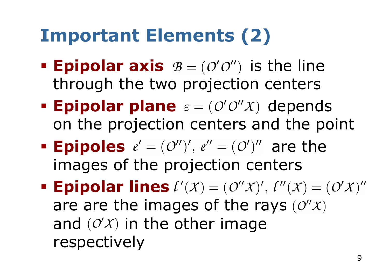## **Important Elements (2)**

- **Epipolar axis**  $B = (O'O'')$  is the line through the two projection centers
- **Epipolar plane**  $\varepsilon = (O'O''X)$  depends on the projection centers and the point
- **Epipoles**  $e' = (O'')', e'' = (O')''$  are the images of the projection centers
- **Epipolar lines**  $\ell'(X) = (\ell''(X)')', \, \ell''(X) = (\ell''(X)')''$ are are the images of the rays  $(0''x)$ and  $(O'X)$  in the other image respectively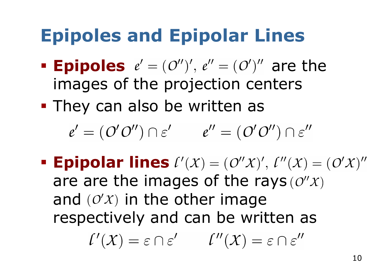## **Epipoles and Epipolar Lines**

**• Epipoles**  $e' = (O'')', e'' = (O')''$  are the images of the projection centers

**• They can also be written as** 

 $e' = (O'O'') \cap \varepsilon'$   $e'' = (O'O'') \cap \varepsilon''$ 

**• Epipolar lines**  $\ell'(X) = (\ell''(X), \ell''(X)) = (\ell''(X))''$ are are the images of the rays  $(0''x)$ and  $(0'x)$  in the other image respectively and can be written as

 $\ell'(X) = \varepsilon \cap \varepsilon' \qquad \ell''(X) = \varepsilon \cap \varepsilon''$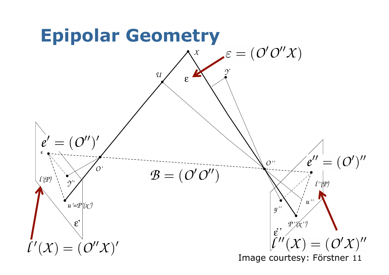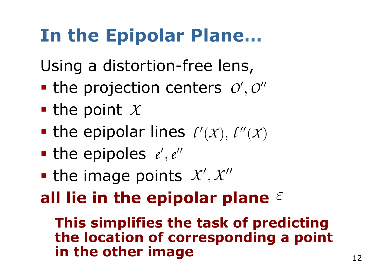# **In the Epipolar Plane…**

Using a distortion-free lens,

- $\blacksquare$  the projection centers  $O', O''$
- the point  $X$
- the epipolar lines  $\ell'(x)$ ,  $\ell''(x)$
- the epipoles  $e', e''$
- the image points  $X', X''$

#### **all lie in the epipolar plane**

**This simplifies the task of predicting the location of corresponding a point in the other image**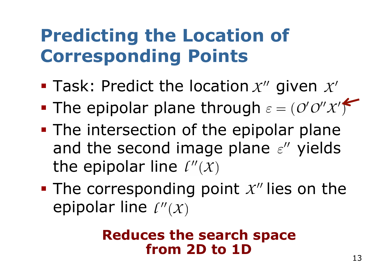## **Predicting the Location of Corresponding Points**

- **Task: Predict the location**  $x''$  **given**  $x'$
- The epipolar plane through  $\varepsilon = (O'O''X')$
- The intersection of the epipolar plane and the second image plane  $\varepsilon''$  yields the epipolar line  $\ell''(x)$
- $\blacksquare$  The corresponding point  $\chi''$  lies on the epipolar line  $\ell''(x)$

#### **Reduces the search space from 2D to 1D**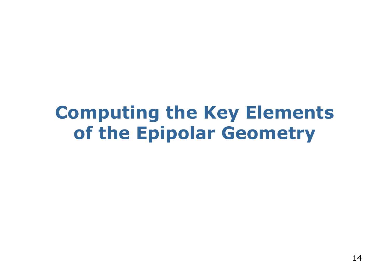#### **Computing the Key Elements of the Epipolar Geometry**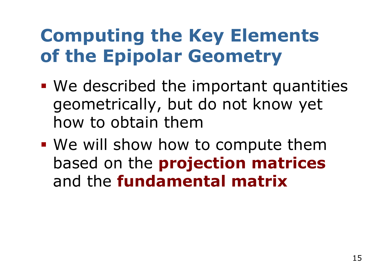## **Computing the Key Elements of the Epipolar Geometry**

- § We described the important quantities geometrically, but do not know yet how to obtain them
- We will show how to compute them based on the **projection matrices** and the **fundamental matrix**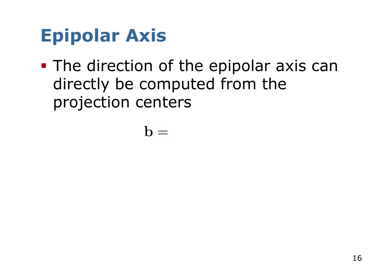## **Epipolar Axis**

**• The direction of the epipolar axis can** directly be computed from the projection centers

 $\mathbf{b} =$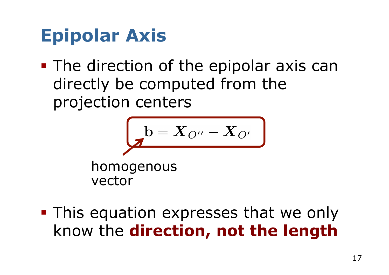## **Epipolar Axis**

■ The direction of the epipolar axis can directly be computed from the projection centers

$$
b = X_{O''} - X_{O'}
$$

homogenous vector

**• This equation expresses that we only** know the **direction, not the length**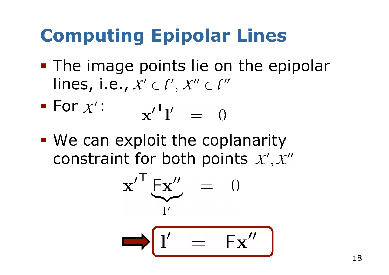# **Computing Epipolar Lines**

• The image points lie on the epipolar lines, i.e.,  $x' \in \ell', x'' \in \ell''$ 

For 
$$
x'
$$
:  $\mathbf{x}'^T \mathbf{l}' = 0$ 

• We can exploit the coplanarity constraint for both points  $X', X''$ 

$$
\mathbf{x}'^{\mathsf{T}} \mathbf{F} \mathbf{x}'' = 0
$$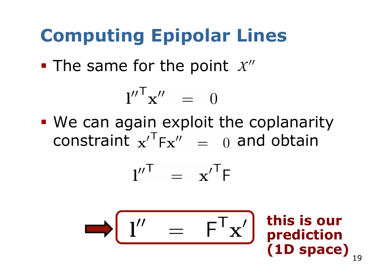# **Computing Epipolar Lines**

• The same for the point  $x''$ 

$$
{\bf l''}^\mathsf{T}{\bf x''}~=~0
$$

• We can again exploit the coplanarity constraint  $x^T F x'' = 0$  and obtain

$$
l''^{\mathsf{T}} = \mathbf{x}'^{\mathsf{T}} \mathsf{F}
$$

$$
\longrightarrow \boxed{l'' \quad = \quad \mathsf{F}^\mathsf{T} \mathbf{x}'}
$$

**this is our prediction (1D space)**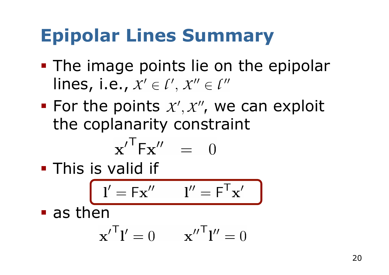## **Epipolar Lines Summary**

- The image points lie on the epipolar lines, i.e.,  $X' \in \ell', X'' \in \ell''$
- For the points  $x', x'',$  we can exploit the coplanarity constraint

$$
\mathbf{x'}^{\mathsf{T}} \mathsf{F} \mathbf{x''} = 0
$$

**• This is valid if** 

$$
\boxed{\mathbf{l}' = \mathsf{F}\mathbf{x}'' \qquad \mathbf{l}'' = \mathsf{F}^\mathsf{T}\mathbf{x}'}
$$

■ as then

$$
\mathbf{x'}^{\mathsf{T}} \mathbf{l'} = 0 \qquad \mathbf{x''}^{\mathsf{T}} \mathbf{l''} = 0
$$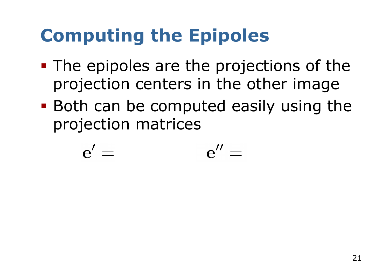# **Computing the Epipoles**

- § The epipoles are the projections of the projection centers in the other image
- Both can be computed easily using the projection matrices

$$
e' = e'' =
$$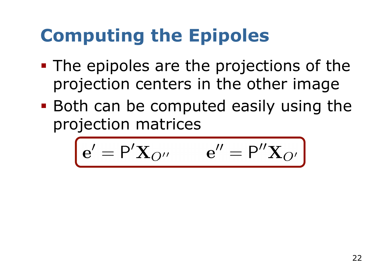# **Computing the Epipoles**

- § The epipoles are the projections of the projection centers in the other image
- Both can be computed easily using the projection matrices

$$
\mathbf{e}' = \mathbf{P}'\mathbf{X}_{O''} \qquad \mathbf{e}'' = \mathbf{P}''\mathbf{X}_{O'}
$$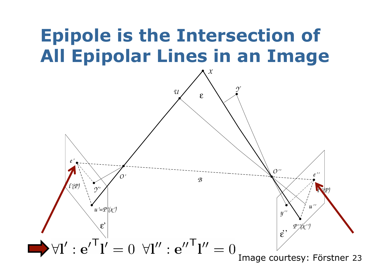#### **Epipole is the Intersection of All Epipolar Lines in an Image**

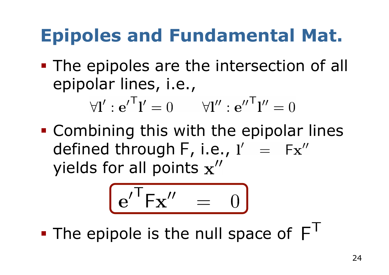## **Epipoles and Fundamental Mat.**

**• The epipoles are the intersection of all** epipolar lines, i.e.,

$$
\forall \mathbf{l}' : e^{\prime \mathsf{T}} \mathbf{l}' = 0 \qquad \forall \mathbf{l}'' : e^{\prime \prime \mathsf{T}} \mathbf{l}'' = 0
$$

§ Combining this with the epipolar lines defined through  $F$ , i.e.,  $I' = Fx''$ yields for all points  $x''$ 

$$
\boxed{e^{\prime T}Fx^{\prime\prime} = 0}
$$

• The epipole is the null space of  $F<sup>T</sup>$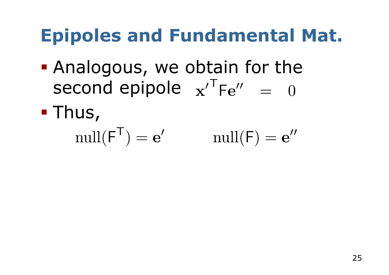## **Epipoles and Fundamental Mat.**

- **Analogous, we obtain for the** second epipole  $x^TFe'' = 0$
- § Thus,

$$
\operatorname{null}(\mathsf{F}^{\mathsf{T}}) = \mathbf{e}' \qquad \qquad \operatorname{null}(\mathsf{F}) = \mathbf{e}''
$$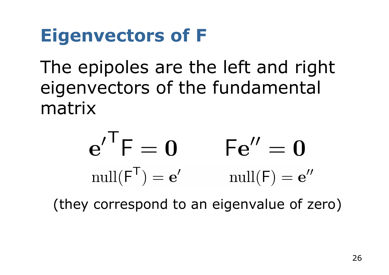## **Eigenvectors of F**

The epipoles are the left and right eigenvectors of the fundamental matrix

$$
e^{\prime T}F = 0 \qquad Fe^{\prime\prime} = 0
$$
  
\n
$$
\operatorname{null}(F^{T}) = e^{\prime} \qquad \operatorname{null}(F) = e^{\prime\prime}
$$

(they correspond to an eigenvalue of zero)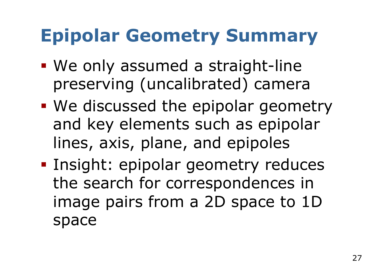## **Epipolar Geometry Summary**

- We only assumed a straight-line preserving (uncalibrated) camera
- We discussed the epipolar geometry and key elements such as epipolar lines, axis, plane, and epipoles
- § Insight: epipolar geometry reduces the search for correspondences in image pairs from a 2D space to 1D space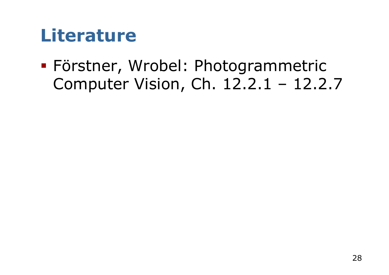#### **Literature**

§ Förstner, Wrobel: Photogrammetric Computer Vision, Ch. 12.2.1 – 12.2.7